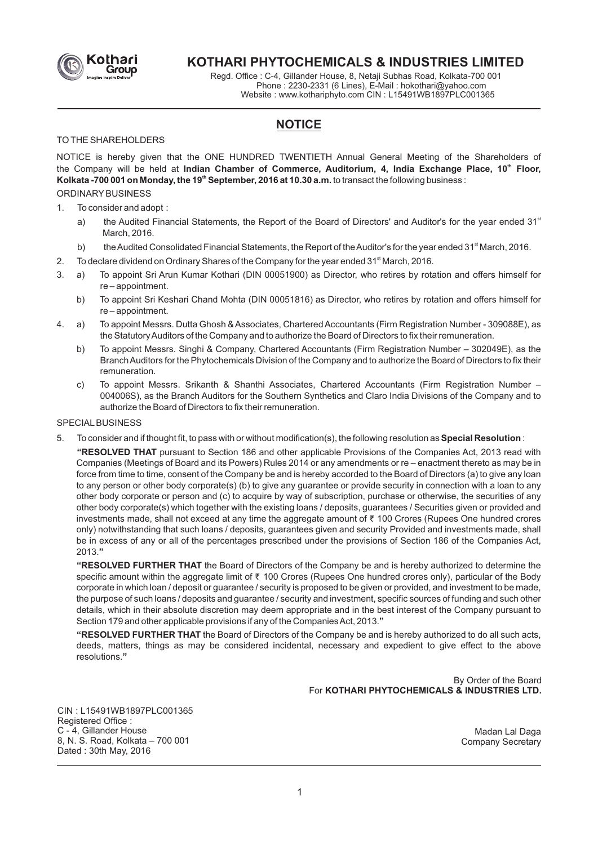

# **KOTHARI PHYTOCHEMICALS & INDUSTRIES LIMITED**

Regd. Office : C-4, Gillander House, 8, Netaji Subhas Road, Kolkata-700 001 Phone : 2230-2331 (6 Lines), E-Mail : hokothari@yahoo.com Website : www.kothariphyto.com CIN : L15491WB1897PLC001365

# **NOTICE**

### TO THE SHAREHOLDERS

NOTICE is hereby given that the ONE HUNDRED TWENTIETH Annual General Meeting of the Shareholders of the Company will be held at **Indian Chamber of Commerce, Auditorium, 4, India Exchange Place, 10<sup>th</sup> Floor, Kolkata -700 001 on Monday, the 19<sup>th</sup> September, 2016 at 10.30 a.m.** to transact the following business : ORDINARYBUSINESS

# 1. To consider and adopt :

- a) the Audited Financial Statements, the Report of the Board of Directors' and Auditor's for the year ended 31<sup>st</sup> March, 2016.
- b) the Audited Consolidated Financial Statements, the Report of the Auditor's for the year ended 31<sup>st</sup> March, 2016.
- 2. To declare dividend on Ordinary Shares of the Company for the year ended  $31<sup>st</sup>$  March, 2016.
- 3. a) To appoint Sri Arun Kumar Kothari (DIN 00051900) as Director, who retires by rotation and offers himself for re – appointment.
	- b) To appoint Sri Keshari Chand Mohta (DIN 00051816) as Director, who retires by rotation and offers himself for re – appointment.
- 4. a) To appoint Messrs. Dutta Ghosh & Associates, Chartered Accountants (Firm Registration Number 309088E), as the Statutory Auditors of the Company and to authorize the Board of Directors to fix their remuneration.
	- b) To appoint Messrs. Singhi & Company, Chartered Accountants (Firm Registration Number 302049E), as the Branch Auditors for the Phytochemicals Division of the Company and to authorize the Board of Directors to fix their remuneration.
	- c) To appoint Messrs. Srikanth & Shanthi Associates, Chartered Accountants (Firm Registration Number 004006S), as the Branch Auditors for the Southern Synthetics and Claro India Divisions of the Company and to authorize the Board of Directors to fix their remuneration.

#### **SPECIAL BUSINESS**

5. To consider and if thought fit, to pass with or without modification(s), the following resolution as **Special Resolution** :

**"RESOLVED THAT** pursuant to Section 186 and other applicable Provisions of the Companies Act, 2013 read with Companies (Meetings of Board and its Powers) Rules 2014 or any amendments or re – enactment thereto as may be in force from time to time, consent of the Company be and is hereby accorded to the Board of Directors (a) to give any loan to any person or other body corporate(s) (b) to give any guarantee or provide security in connection with a loan to any other body corporate or person and (c) to acquire by way of subscription, purchase or otherwise, the securities of any other body corporate(s) which together with the existing loans / deposits, guarantees / Securities given or provided and investments made, shall not exceed at any time the aggregate amount of ₹ 100 Crores (Rupees One hundred crores only) notwithstanding that such loans / deposits, guarantees given and security Provided and investments made, shall be in excess of any or all of the percentages prescribed under the provisions of Section 186 of the Companies Act, 2013.**"**

**"RESOLVED FURTHER THAT** the Board of Directors of the Company be and is hereby authorized to determine the specific amount within the aggregate limit of ₹ 100 Crores (Rupees One hundred crores only), particular of the Body corporate in which loan / deposit or guarantee / security is proposed to be given or provided, and investment to be made, the purpose of such loans / deposits and guarantee / security and investment, specific sources of funding and such other details, which in their absolute discretion may deem appropriate and in the best interest of the Company pursuant to Section 179 and other applicable provisions if any of the Companies Act, 2013.**"**

**"RESOLVED FURTHER THAT** the Board of Directors of the Company be and is hereby authorized to do all such acts, deeds, matters, things as may be considered incidental, necessary and expedient to give effect to the above resolutions.**"**

> By Order of the Board For **KOTHARI PHYTOCHEMICALS & INDUSTRIES LTD.**

CIN : L15491WB1897PLC001365 Registered Office : C - 4, Gillander House 8, N. S. Road, Kolkata – 700 001 Dated : 30th May, 2016

Madan Lal Daga Company Secretary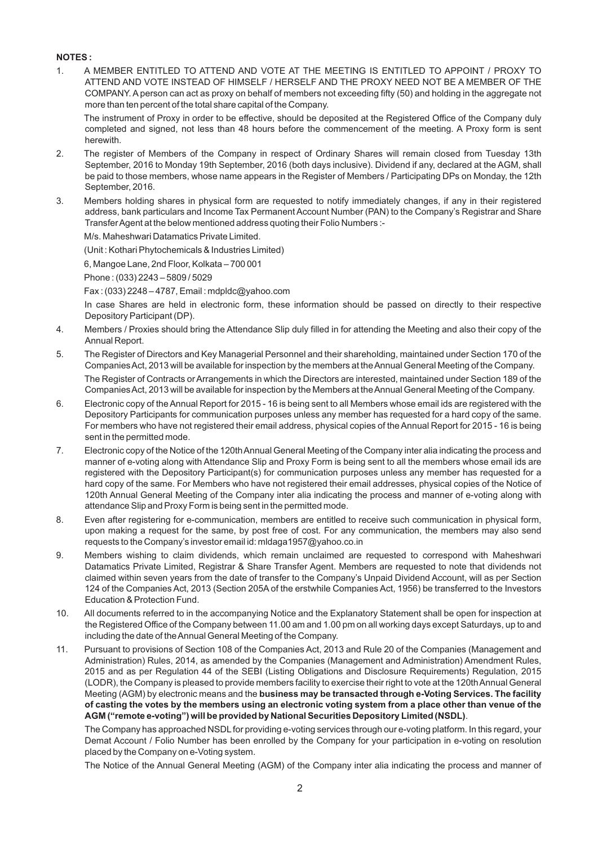### **NOTES :**

1. A MEMBER ENTITLED TO ATTEND AND VOTE AT THE MEETING IS ENTITLED TO APPOINT / PROXY TO ATTEND AND VOTE INSTEAD OF HIMSELF / HERSELF AND THE PROXY NEED NOT BE A MEMBER OF THE COMPANY. Aperson can act as proxy on behalf of members not exceeding fifty (50) and holding in the aggregate not more than ten percent of the total share capital of the Company.

The instrument of Proxy in order to be effective, should be deposited at the Registered Office of the Company duly completed and signed, not less than 48 hours before the commencement of the meeting. A Proxy form is sent herewith.

- 2. The register of Members of the Company in respect of Ordinary Shares will remain closed from Tuesday 13th September, 2016 to Monday 19th September, 2016 (both days inclusive). Dividend if any, declared at the AGM, shall be paid to those members, whose name appears in the Register of Members / Participating DPs on Monday, the 12th September, 2016.
- 3. Members holding shares in physical form are requested to notify immediately changes, if any in their registered address, bank particulars and Income Tax Permanent Account Number (PAN) to the Company's Registrar and Share Transfer Agent at the below mentioned address quoting their Folio Numbers :-

M/s. Maheshwari Datamatics Private Limited.

(Unit : Kothari Phytochemicals & Industries Limited)

6, Mangoe Lane, 2nd Floor, Kolkata – 700 001

Phone : (033) 2243 – 5809 / 5029

Fax : (033) 2248 – 4787, Email : mdpldc@yahoo.com

In case Shares are held in electronic form, these information should be passed on directly to their respective Depository Participant (DP).

- 4. Members / Proxies should bring the Attendance Slip duly filled in for attending the Meeting and also their copy of the Annual Report.
- 5. The Register of Directors and Key Managerial Personnel and their shareholding, maintained under Section 170 of the Companies Act, 2013 will be available for inspection by the members at the Annual General Meeting of the Company. The Register of Contracts or Arrangements in which the Directors are interested, maintained under Section 189 of the Companies Act, 2013 will be available for inspection by the Members at the Annual General Meeting of the Company.
- 6. Electronic copy of the Annual Report for 2015 16 is being sent to all Members whose email ids are registered with the Depository Participants for communication purposes unless any member has requested for a hard copy of the same. For members who have not registered their email address, physical copies of the Annual Report for 2015 - 16 is being sent in the permitted mode.
- 7. Electronic copy of the Notice of the 120th Annual General Meeting of the Company inter alia indicating the process and manner of e-voting along with Attendance Slip and Proxy Form is being sent to all the members whose email ids are registered with the Depository Participant(s) for communication purposes unless any member has requested for a hard copy of the same. For Members who have not registered their email addresses, physical copies of the Notice of 120th Annual General Meeting of the Company inter alia indicating the process and manner of e-voting along with attendance Slip and Proxy Form is being sent in the permitted mode.
- 8. Even after registering for e-communication, members are entitled to receive such communication in physical form, upon making a request for the same, by post free of cost. For any communication, the members may also send requests to the Company's investor email id: mldaga1957@yahoo.co.in
- 9. Members wishing to claim dividends, which remain unclaimed are requested to correspond with Maheshwari Datamatics Private Limited, Registrar & Share Transfer Agent. Members are requested to note that dividends not claimed within seven years from the date of transfer to the Company's Unpaid Dividend Account, will as per Section 124 of the Companies Act, 2013 (Section 205A of the erstwhile Companies Act, 1956) be transferred to the Investors Education & Protection Fund.
- 10. All documents referred to in the accompanying Notice and the Explanatory Statement shall be open for inspection at the Registered Office of the Company between 11.00 am and 1.00 pm on all working days except Saturdays, up to and including the date of the Annual General Meeting of the Company.
- 11. Pursuant to provisions of Section 108 of the Companies Act, 2013 and Rule 20 of the Companies (Management and Administration) Rules, 2014, as amended by the Companies (Management and Administration) Amendment Rules, 2015 and as per Regulation 44 of the SEBI (Listing Obligations and Disclosure Requirements) Regulation, 2015 (LODR), the Company is pleased to provide members facility to exercise their right to vote at the 120th Annual General Meeting (AGM) by electronic means and the **business may be transacted through e-Voting Services. The facility of casting the votes by the members using an electronic voting system from a place other than venue of the AGM ("remote e-voting") will be provided by National Securities Depository Limited (NSDL)**.

The Company has approached NSDLfor providing e-voting services through our e-voting platform. In this regard, your Demat Account / Folio Number has been enrolled by the Company for your participation in e-voting on resolution placed by the Company on e-Voting system.

The Notice of the Annual General Meeting (AGM) of the Company inter alia indicating the process and manner of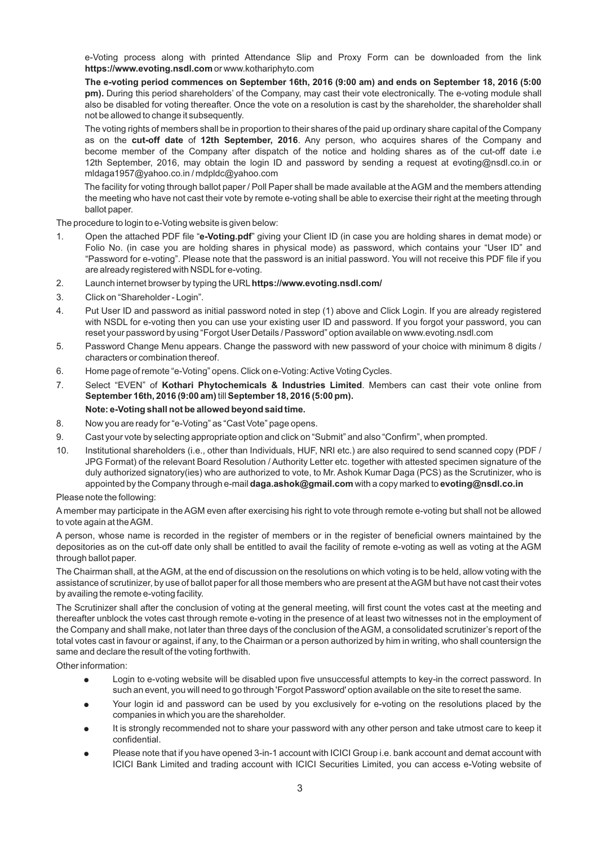e-Voting process along with printed Attendance Slip and Proxy Form can be downloaded from the link **https://www.evoting.nsdl.com** or www.kothariphyto.com

**The e-voting period commences on September 16th, 2016 (9:00 am) and ends on September 18, 2016 (5:00 pm).** During this period shareholders' of the Company, may cast their vote electronically. The e-voting module shall also be disabled for voting thereafter. Once the vote on a resolution is cast by the shareholder, the shareholder shall not be allowed to change it subsequently.

The voting rights of members shall be in proportion to their shares of the paid up ordinary share capital of the Company as on the **cut-off date** of **12th September, 2016**. Any person, who acquires shares of the Company and become member of the Company after dispatch of the notice and holding shares as of the cut-off date i.e 12th September, 2016, may obtain the login ID and password by sending a request at evoting@nsdl.co.in or mldaga1957@yahoo.co.in / mdpldc@yahoo.com

The facility for voting through ballot paper / Poll Paper shall be made available at the AGM and the members attending the meeting who have not cast their vote by remote e-voting shall be able to exercise their right at the meeting through ballot paper.

The procedure to login to e-Voting website is given below:

- 1. Open the attached PDF file "**e-Voting.pdf**" giving your Client ID (in case you are holding shares in demat mode) or Folio No. (in case you are holding shares in physical mode) as password, which contains your "User ID" and "Password for e-voting". Please note that the password is an initial password. You will not receive this PDF file if you are already registered with NSDLfor e-voting.
- 2. Launch internet browser by typing the URL**https://www.evoting.nsdl.com/**
- 3. Click on "Shareholder Login".
- 4. Put User ID and password as initial password noted in step (1) above and Click Login. If you are already registered with NSDL for e-voting then you can use your existing user ID and password. If you forgot your password, you can reset your password by using "Forgot User Details / Password" option available on www.evoting.nsdl.com
- 5. Password Change Menu appears. Change the password with new password of your choice with minimum 8 digits / characters or combination thereof.
- 6. Home page of remote "e-Voting" opens. Click on e-Voting: Active Voting Cycles.
- 7. Select "EVEN" of **Kothari Phytochemicals & Industries Limited**. Members can cast their vote online from **September 16th, 2016 (9:00 am)** till **September 18, 2016 (5:00 pm).**

## **Note: e-Voting shall not be allowed beyond said time.**

- 8. Now you are ready for "e-Voting" as "Cast Vote" page opens.
- 9. Cast your vote by selecting appropriate option and click on "Submit" and also "Confirm", when prompted.
- 10. Institutional shareholders (i.e., other than Individuals, HUF, NRI etc.) are also required to send scanned copy (PDF / JPG Format) of the relevant Board Resolution / Authority Letter etc. together with attested specimen signature of the duly authorized signatory(ies) who are authorized to vote, to Mr. Ashok Kumar Daga (PCS) as the Scrutinizer, who is appointed by the Company through e-mail **daga.ashok@gmail.com** with a copy marked to **evoting@nsdl.co.in**

Please note the following:

A member may participate in the AGM even after exercising his right to vote through remote e-voting but shall not be allowed to vote again at the AGM.

A person, whose name is recorded in the register of members or in the register of beneficial owners maintained by the depositories as on the cut-off date only shall be entitled to avail the facility of remote e-voting as well as voting at the AGM through ballot paper.

The Chairman shall, at the AGM, at the end of discussion on the resolutions on which voting is to be held, allow voting with the assistance of scrutinizer, by use of ballot paper for all those members who are present at the AGM but have not cast their votes by availing the remote e-voting facility.

The Scrutinizer shall after the conclusion of voting at the general meeting, will first count the votes cast at the meeting and thereafter unblock the votes cast through remote e-voting in the presence of at least two witnesses not in the employment of the Company and shall make, not later than three days of the conclusion of the AGM, a consolidated scrutinizer's report of the total votes cast in favour or against, if any, to the Chairman or a person authorized by him in writing, who shall countersign the same and declare the result of the voting forthwith.

Other information:

- Login to e-voting website will be disabled upon five unsuccessful attempts to key-in the correct password. In
- such an event, you will need to go through 'Forgot Password' option available on the site to reset the same.<br>♦ Your login id and password can be used by you exclusively for e-voting on the resolutions placed by the
- ●companies in which you are the shareholder. It is strongly recommended not to share your password with any other person and take utmost care to keep it
- ●confidential. Please note that if you have opened 3-in-1 account with ICICI Group i.e. bank account and demat account with ICICI Bank Limited and trading account with ICICI Securities Limited, you can access e-Voting website of